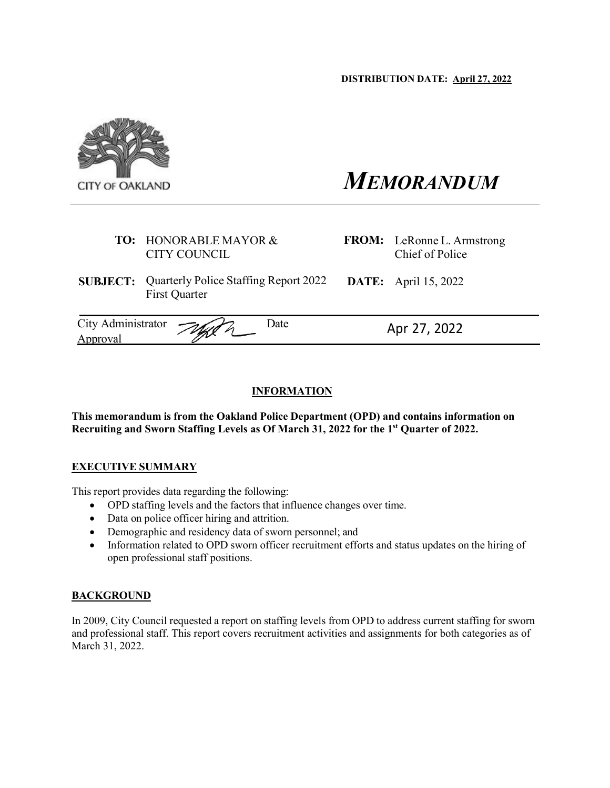

# *MEMORANDUM*

**FROM:** LeRonne L. Armstrong Chief of Police

**DATE:** April 15, 2022

| <b>TO: HONORABLE MAYOR &amp;</b> |
|----------------------------------|
| CITY COUNCIL                     |

**SUBJECT:** Quarterly Police Staffing Report 2022 First Quarter

| City Administrator $\mathcal{A}$ | ⊅ate | Apr 27, 2022 |
|----------------------------------|------|--------------|
| Approval                         |      |              |

# **INFORMATION**

**This memorandum is from the Oakland Police Department (OPD) and contains information on Recruiting and Sworn Staffing Levels as Of March 31, 2022 for the 1st Quarter of 2022.** 

# **EXECUTIVE SUMMARY**

This report provides data regarding the following:

- OPD staffing levels and the factors that influence changes over time.
- Data on police officer hiring and attrition.
- Demographic and residency data of sworn personnel; and
- Information related to OPD sworn officer recruitment efforts and status updates on the hiring of open professional staff positions.

# **BACKGROUND**

In 2009, City Council requested a report on staffing levels from OPD to address current staffing for sworn and professional staff. This report covers recruitment activities and assignments for both categories as of March 31, 2022.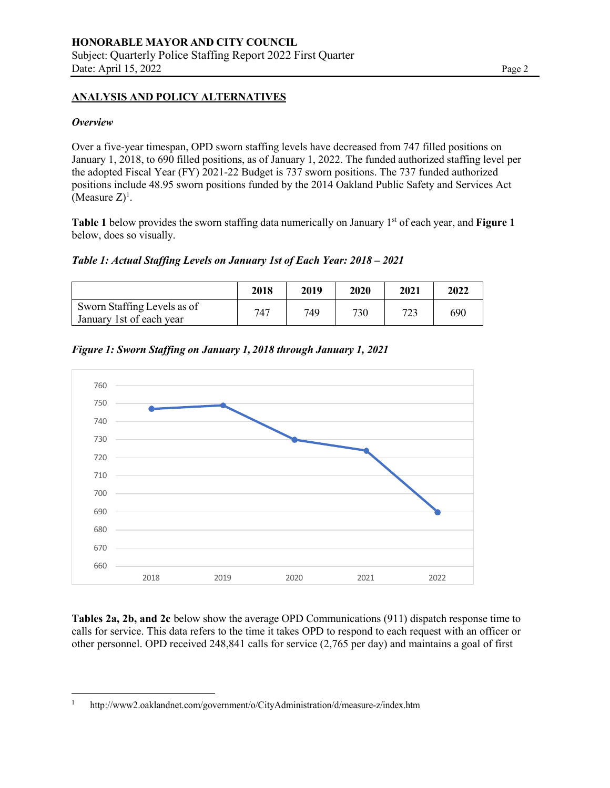#### **ANALYSIS AND POLICY ALTERNATIVES**

#### *Overview*

Over a five-year timespan, OPD sworn staffing levels have decreased from 747 filled positions on January 1, 2018, to 690 filled positions, as of January 1, 2022. The funded authorized staffing level per the adopted Fiscal Year (FY) 2021-22 Budget is 737 sworn positions. The 737 funded authorized positions include 48.95 sworn positions funded by the 2014 Oakland Public Safety and Services Act (Measure  $Z$ )<sup>1</sup>.

**Table 1** below provides the sworn staffing data numerically on January 1<sup>st</sup> of each year, and **Figure 1** below, does so visually.

*Table 1: Actual Staffing Levels on January 1st of Each Year: 2018 – 2021*

|                                                         | 2018 | 2019 | 2020 | 2021 | 2022 |
|---------------------------------------------------------|------|------|------|------|------|
| Sworn Staffing Levels as of<br>January 1st of each year | 747  | 749  | 730  | 723  | 690  |

*Figure 1: Sworn Staffing on January 1, 2018 through January 1, 2021*



**Tables 2a, 2b, and 2c** below show the average OPD Communications (911) dispatch response time to calls for service. This data refers to the time it takes OPD to respond to each request with an officer or other personnel. OPD received 248,841 calls for service (2,765 per day) and maintains a goal of first

<sup>1</sup> <http://www2.oaklandnet.com/government/o/CityAdministration/d/measure-z/index.htm>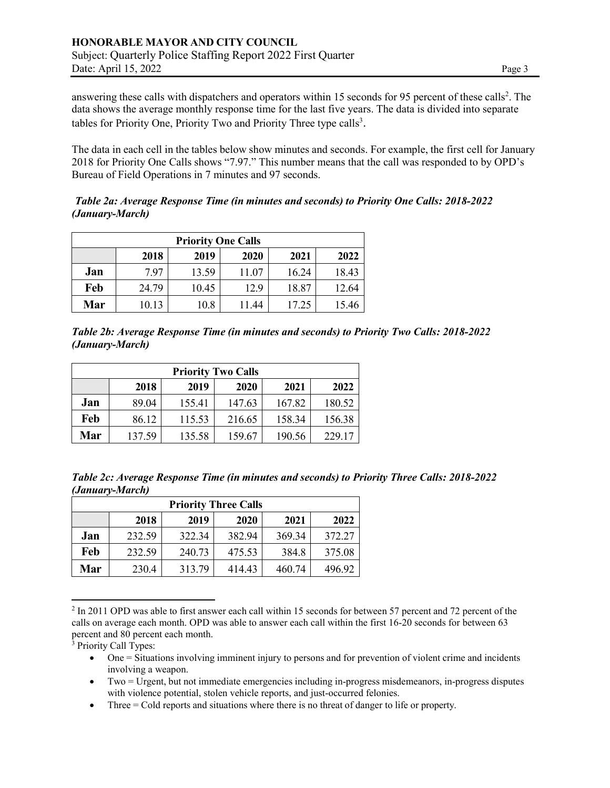answering these calls with dispatchers and operators within 15 seconds for 95 percent of these calls<sup>2</sup>. The data shows the average monthly response time for the last five years. The data is divided into separate tables for Priority One, Priority Two and Priority Three type calls<sup>3</sup>.

The data in each cell in the tables below show minutes and seconds. For example, the first cell for January 2018 for Priority One Calls shows "7.97." This number means that the call was responded to by OPD's Bureau of Field Operations in 7 minutes and 97 seconds.

## *Table 2a: Average Response Time (in minutes and seconds) to Priority One Calls: 2018-2022 (January-March)*

| <b>Priority One Calls</b> |       |       |       |       |       |  |  |
|---------------------------|-------|-------|-------|-------|-------|--|--|
|                           | 2018  | 2019  | 2020  | 2021  | 2022  |  |  |
| Jan                       | 7.97  | 13.59 | 11.07 | 16.24 | 18.43 |  |  |
| Feb                       | 24.79 | 10.45 | 12.9  | 18.87 | 12.64 |  |  |
| Mar                       | 10.13 | 10.8  | 11.44 | 17.25 | 15.46 |  |  |

*Table 2b: Average Response Time (in minutes and seconds) to Priority Two Calls: 2018-2022 (January-March)*

| <b>Priority Two Calls</b> |        |        |        |        |        |  |  |
|---------------------------|--------|--------|--------|--------|--------|--|--|
|                           | 2018   | 2019   | 2020   | 2021   | 2022   |  |  |
| Jan                       | 89.04  | 155.41 | 147.63 | 167.82 | 180.52 |  |  |
| Feb                       | 86.12  | 115.53 | 216.65 | 158.34 | 156.38 |  |  |
| Mar                       | 137.59 | 135.58 | 159.67 | 190.56 | 229.17 |  |  |

*Table 2c: Average Response Time (in minutes and seconds) to Priority Three Calls: 2018-2022 (January-March)*

| <b>Priority Three Calls</b> |        |        |        |        |        |  |  |  |  |
|-----------------------------|--------|--------|--------|--------|--------|--|--|--|--|
|                             | 2018   | 2019   | 2020   | 2021   | 2022   |  |  |  |  |
| Jan                         | 232.59 | 322.34 | 382.94 | 369.34 | 372.27 |  |  |  |  |
| Feb                         | 232.59 | 240.73 | 475.53 | 384.8  | 375.08 |  |  |  |  |
| Mar                         | 230.4  | 313.79 | 414.43 | 460.74 | 496.92 |  |  |  |  |

 $2 \text{ In } 2011$  OPD was able to first answer each call within 15 seconds for between 57 percent and 72 percent of the calls on average each month. OPD was able to answer each call within the first 16-20 seconds for between 63 percent and 80 percent each month.

<sup>3</sup> Priority Call Types:

- One = Situations involving imminent injury to persons and for prevention of violent crime and incidents involving a weapon.
- Two = Urgent, but not immediate emergencies including in-progress misdemeanors, in-progress disputes with violence potential, stolen vehicle reports, and just-occurred felonies.
- Three = Cold reports and situations where there is no threat of danger to life or property.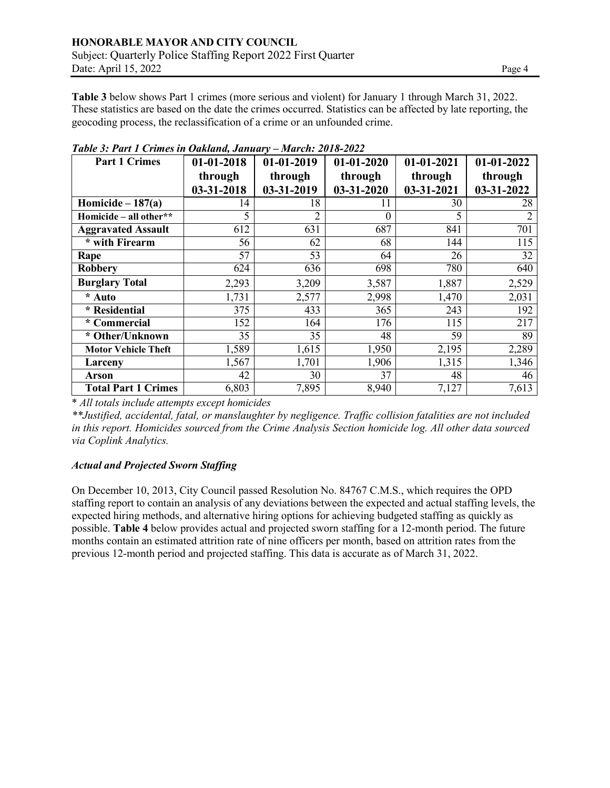**Table 3** below shows Part 1 crimes (more serious and violent) for January 1 through March 31, 2022. These statistics are based on the date the crimes occurred. Statistics can be affected by late reporting, the geocoding process, the reclassification of a crime or an unfounded crime.

| <b>Part 1 Crimes</b>       | 01-01-2018 | $01-01-2020$<br>$01-01-2019$ |            | $01-01-2021$ | $01-01-2022$ |  |
|----------------------------|------------|------------------------------|------------|--------------|--------------|--|
|                            | through    | through                      | through    | through      | through      |  |
|                            | 03-31-2018 | 03-31-2019                   | 03-31-2020 | 03-31-2021   | 03-31-2022   |  |
| Homicide $-187(a)$         | 14         | 18                           | 11         | 30           | 28           |  |
| Homicide - all other**     | 5          |                              | $\theta$   | 5            |              |  |
| <b>Aggravated Assault</b>  | 612        | 631                          | 687        | 841          | 701          |  |
| * with Firearm             | 56         | 62                           | 68         | 144          | 115          |  |
| Rape                       | 57         | 53                           | 64         | 26           | 32           |  |
| <b>Robbery</b>             | 624        | 636                          | 698        | 780          | 640          |  |
| <b>Burglary Total</b>      | 2,293      | 3,209                        | 3,587      | 1,887        | 2,529        |  |
| * Auto                     | 1,731      | 2,577                        | 2,998      | 1,470        | 2,031        |  |
| * Residential              | 375        | 433                          | 365        | 243          | 192          |  |
| * Commercial               | 152        | 164                          | 176        | 115          | 217          |  |
| * Other/Unknown            | 35         | 35                           | 48         | 59           | 89           |  |
| <b>Motor Vehicle Theft</b> | 1,589      | 1,615                        | 1,950      | 2,195        | 2,289        |  |
| Larceny                    | 1,567      | 1,701                        | 1,906      | 1,315        | 1,346        |  |
| <b>Arson</b>               | 42         | 30                           | 37         | 48           | 46           |  |
| <b>Total Part 1 Crimes</b> | 6,803      | 7,895                        | 8,940      | 7,127        | 7,613        |  |

*Table 3: Part 1 Crimes in Oakland, January – March: 2018-2022*

\* *All totals include attempts except homicides*

*\*\*Justified, accidental, fatal, or manslaughter by negligence. Traffic collision fatalities are not included in this report. Homicides sourced from the Crime Analysis Section homicide log. All other data sourced via Coplink Analytics.*

# *Actual and Projected Sworn Staffing*

On December 10, 2013, City Council passed Resolution No. 84767 C.M.S., which requires the OPD staffing report to contain an analysis of any deviations between the expected and actual staffing levels, the expected hiring methods, and alternative hiring options for achieving budgeted staffing as quickly as possible. **Table 4** below provides actual and projected sworn staffing for a 12-month period. The future months contain an estimated attrition rate of nine officers per month, based on attrition rates from the previous 12-month period and projected staffing. This data is accurate as of March 31, 2022.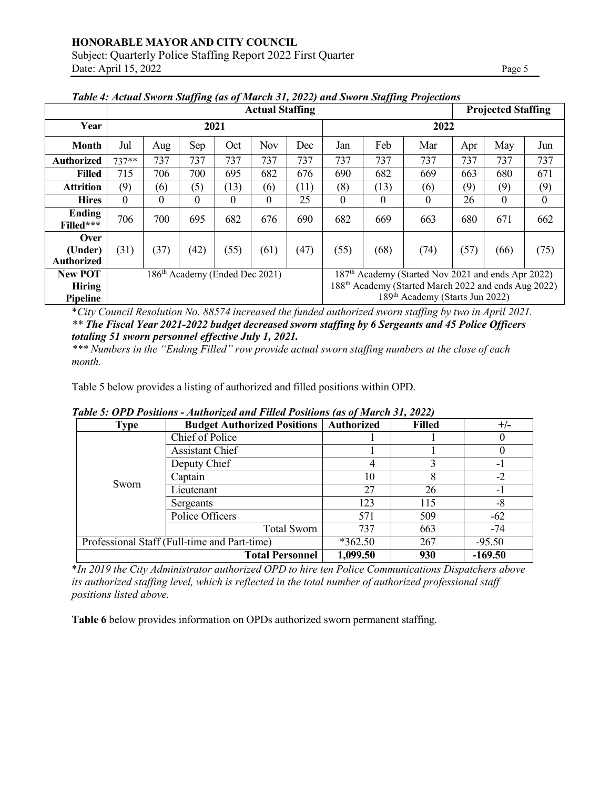|                                      |                                                     |          |                                            |      |            |      |                                                                  |          | Tubic 4. Actual Sworn Sugging (as of march 31, 2022) and Sworn Sugging 1 refections |      |          |                  |
|--------------------------------------|-----------------------------------------------------|----------|--------------------------------------------|------|------------|------|------------------------------------------------------------------|----------|-------------------------------------------------------------------------------------|------|----------|------------------|
|                                      | <b>Actual Staffing</b><br><b>Projected Staffing</b> |          |                                            |      |            |      |                                                                  |          |                                                                                     |      |          |                  |
| Year                                 |                                                     |          | 2021                                       |      |            |      |                                                                  |          | 2022                                                                                |      |          |                  |
| <b>Month</b>                         | Jul                                                 | Aug      | Sep                                        | Oct  | <b>Nov</b> | Dec  | Jan                                                              | Feb      | Mar                                                                                 | Apr  | May      | Jun              |
| <b>Authorized</b>                    | $737**$                                             | 737      | 737                                        | 737  | 737        | 737  | 737                                                              | 737      | 737                                                                                 | 737  | 737      | 737              |
| <b>Filled</b>                        | 715                                                 | 706      | 700                                        | 695  | 682        | 676  | 690                                                              | 682      | 669                                                                                 | 663  | 680      | 671              |
| <b>Attrition</b>                     | (9)                                                 | (6)      | (5)                                        | (13) | (6)        | (11) | (8)                                                              | (13)     | (6)                                                                                 | (9)  | (9)      | (9)              |
| <b>Hires</b>                         | $\Omega$                                            | $\theta$ | 0                                          | 0    | 0          | 25   | $\overline{0}$                                                   | $\theta$ | 0                                                                                   | 26   | $\theta$ | $\boldsymbol{0}$ |
| Ending<br>Filled***                  | 706                                                 | 700      | 695                                        | 682  | 676        | 690  | 682                                                              | 669      | 663                                                                                 | 680  | 671      | 662              |
| Over<br>(Under)<br><b>Authorized</b> | (31)                                                | (37)     | (42)                                       | (55) | (61)       | (47) | (55)                                                             | (68)     | (74)                                                                                | (57) | (66)     | (75)             |
| <b>New POT</b>                       |                                                     |          | 186 <sup>th</sup> Academy (Ended Dec 2021) |      |            |      | 187 <sup>th</sup> Academy (Started Nov 2021 and ends Apr 2022)   |          |                                                                                     |      |          |                  |
| <b>Hiring</b>                        |                                                     |          |                                            |      |            |      | 188 <sup>th</sup> Academy (Started March 2022 and ends Aug 2022) |          |                                                                                     |      |          |                  |
| <b>Pipeline</b>                      |                                                     |          |                                            |      |            |      |                                                                  |          | 189 <sup>th</sup> Academy (Starts Jun 2022)                                         |      |          |                  |

|  | Table 4: Actual Sworn Staffing (as of March 31, 2022) and Sworn Staffing Projections |
|--|--------------------------------------------------------------------------------------|
|  |                                                                                      |

\**City Council Resolution No. 88574 increased the funded authorized sworn staffing by two in April 2021. \*\* The Fiscal Year 2021-2022 budget decreased sworn staffing by 6 Sergeants and 45 Police Officers totaling 51 sworn personnel effective July 1, 2021.*

*\*\*\* Numbers in the "Ending Filled" row provide actual sworn staffing numbers at the close of each month.*

Table 5 below provides a listing of authorized and filled positions within OPD.

*Table 5: OPD Positions - Authorized and Filled Positions (as of March 31, 2022)*

| <b>Type</b> | <b>Budget Authorized Positions</b>           | <b>Authorized</b> | <b>Filled</b> | $+/-$     |
|-------------|----------------------------------------------|-------------------|---------------|-----------|
|             | Chief of Police                              |                   |               |           |
|             | <b>Assistant Chief</b>                       |                   |               |           |
|             | Deputy Chief                                 |                   |               | - 1       |
|             | Captain                                      | 10                |               | $-2$      |
| Sworn       | Lieutenant                                   | 27                | 26            | - 1       |
|             | Sergeants                                    | 123               | 115           | -8        |
|             | Police Officers                              | 571               | 509           | $-62$     |
|             | <b>Total Sworn</b>                           | 737               | 663           | -74       |
|             | Professional Staff (Full-time and Part-time) | $*362.50$         | 267           | $-95.50$  |
|             | <b>Total Personnel</b>                       | 1,099.50          | 930           | $-169.50$ |

\**In 2019 the City Administrator authorized OPD to hire ten Police Communications Dispatchers above its authorized staffing level, which is reflected in the total number of authorized professional staff positions listed above.*

**Table 6** below provides information on OPDs authorized sworn permanent staffing.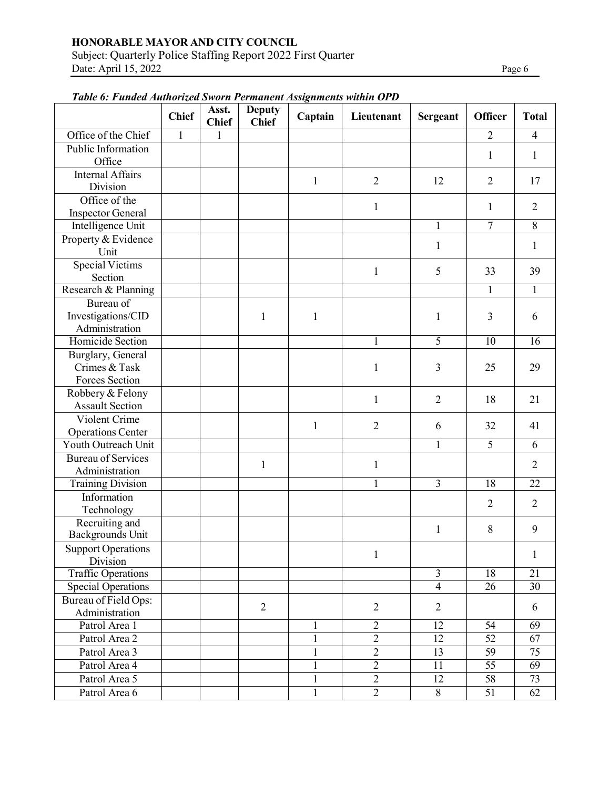Subject: Quarterly Police Staffing Report 2022 First Quarter Date: April 15, 2022 Page 6

| ruole 6. 1 mmen mmortgen sworn 1 crimanent motormus wanni 01 D | <b>Chief</b> | Asst.<br><b>Chief</b> | <b>Deputy</b><br><b>Chief</b> | Captain      | Lieutenant     | <b>Sergeant</b> | <b>Officer</b>  | <b>Total</b>    |
|----------------------------------------------------------------|--------------|-----------------------|-------------------------------|--------------|----------------|-----------------|-----------------|-----------------|
| Office of the Chief                                            | $\mathbf{1}$ | 1                     |                               |              |                |                 | $\overline{2}$  | $\overline{4}$  |
| Public Information<br>Office                                   |              |                       |                               |              |                |                 | 1               | 1               |
| <b>Internal Affairs</b><br>Division                            |              |                       |                               | 1            | $\overline{2}$ | 12              | $\overline{2}$  | 17              |
| Office of the<br><b>Inspector General</b>                      |              |                       |                               |              | $\mathbf{1}$   |                 | 1               | $\overline{2}$  |
| Intelligence Unit                                              |              |                       |                               |              |                | $\mathbf{1}$    | $\overline{7}$  | 8               |
| Property & Evidence<br>Unit                                    |              |                       |                               |              |                | 1               |                 | $\mathbf{1}$    |
| <b>Special Victims</b><br>Section                              |              |                       |                               |              | $\mathbf{1}$   | 5               | 33              | 39              |
| Research & Planning                                            |              |                       |                               |              |                |                 | 1               | $\mathbf{1}$    |
| Bureau of<br>Investigations/CID<br>Administration              |              |                       | 1                             | 1            |                | $\mathbf{1}$    | 3               | 6               |
| Homicide Section                                               |              |                       |                               |              |                | $\overline{5}$  | 10              | 16              |
| Burglary, General<br>Crimes & Task<br>Forces Section           |              |                       |                               |              | 1              | 3               | 25              | 29              |
| Robbery & Felony<br><b>Assault Section</b>                     |              |                       |                               |              | $\mathbf{1}$   | $\overline{2}$  | 18              | 21              |
| Violent Crime                                                  |              |                       |                               | 1            | $\overline{2}$ | 6               | 32              | 41              |
| <b>Operations Center</b><br>Youth Outreach Unit                |              |                       |                               |              |                | 1               | $\overline{5}$  | 6               |
| <b>Bureau of Services</b><br>Administration                    |              |                       | $\mathbf{1}$                  |              | $\mathbf{1}$   |                 |                 | $\overline{2}$  |
| <b>Training Division</b>                                       |              |                       |                               |              |                | 3               | $\overline{18}$ | $\overline{22}$ |
| Information<br>Technology                                      |              |                       |                               |              |                |                 | $\overline{2}$  | $\overline{2}$  |
| Recruiting and<br><b>Backgrounds Unit</b>                      |              |                       |                               |              |                | $\mathbf{1}$    | 8               | 9               |
| <b>Support Operations</b><br>Division                          |              |                       |                               |              | 1              |                 |                 | 1               |
| <b>Traffic Operations</b>                                      |              |                       |                               |              |                | $\mathfrak{Z}$  | 18              | 21              |
| <b>Special Operations</b>                                      |              |                       |                               |              |                | $\overline{4}$  | $\overline{26}$ | $\overline{30}$ |
| Bureau of Field Ops:<br>Administration                         |              |                       | $\overline{2}$                |              | $\mathbf{2}$   | $\overline{2}$  |                 | 6               |
| Patrol Area 1                                                  |              |                       |                               | 1            | $\overline{2}$ | $\overline{12}$ | $\overline{54}$ | 69              |
| Patrol Area 2                                                  |              |                       |                               | 1            | $\overline{2}$ | 12              | $\overline{52}$ | 67              |
| Patrol Area 3                                                  |              |                       |                               | 1            | $\overline{2}$ | 13              | 59              | 75              |
| Patrol Area 4                                                  |              |                       |                               | $\mathbf{1}$ | $\overline{2}$ | 11              | $\overline{55}$ | $\overline{69}$ |
| Patrol Area 5                                                  |              |                       |                               | $\mathbf{1}$ | $\overline{2}$ | 12              | $\overline{58}$ | 73              |
| Patrol Area 6                                                  |              |                       |                               | $\mathbf{1}$ | $\overline{2}$ | $8\,$           | 51              | 62              |

# *Table 6: Funded Authorized Sworn Permanent Assignments within OPD*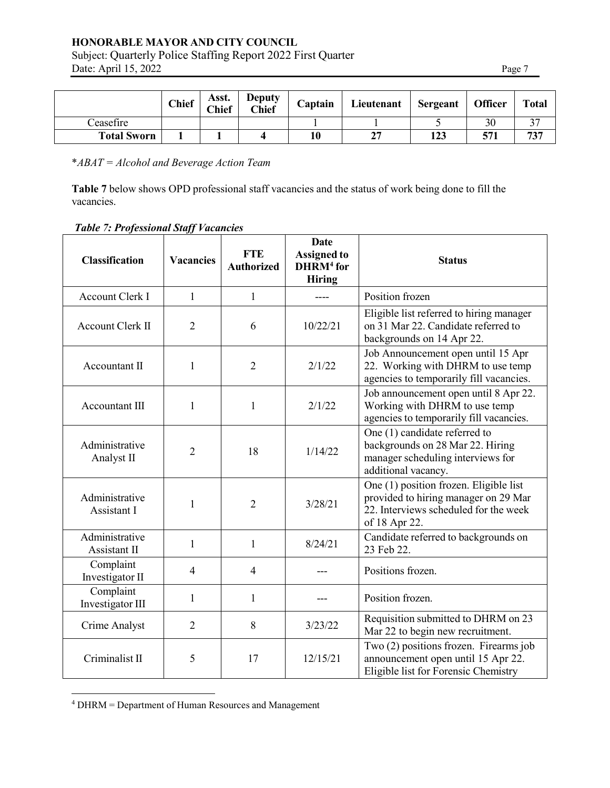Subject: Quarterly Police Staffing Report 2022 First Quarter Date: April 15, 2022

|--|

|                    | <b>Chief</b> | Asst.<br><b>Chief</b> | <b>Deputy</b><br><b>Chief</b> | Captain | Lieutenant | Sergeant | <b>Officer</b> | <b>Total</b> |
|--------------------|--------------|-----------------------|-------------------------------|---------|------------|----------|----------------|--------------|
| Ceasefire          |              |                       |                               |         |            |          | 30             |              |
| <b>Total Sworn</b> |              |                       |                               | 10      | າາ<br>◢    | 123      | 571            | 737          |

\**ABAT = Alcohol and Beverage Action Team*

**Table 7** below shows OPD professional staff vacancies and the status of work being done to fill the vacancies.

| <b>Classification</b>          | <b>Vacancies</b> | <b>FTE</b><br><b>Authorized</b> | <b>Date</b><br><b>Assigned to</b><br>DHRM <sup>4</sup> for<br><b>Hiring</b> | <b>Status</b>                                                                                                                            |
|--------------------------------|------------------|---------------------------------|-----------------------------------------------------------------------------|------------------------------------------------------------------------------------------------------------------------------------------|
| <b>Account Clerk I</b>         | 1                | 1                               |                                                                             | Position frozen                                                                                                                          |
| Account Clerk II               | $\overline{2}$   | 6                               | 10/22/21                                                                    | Eligible list referred to hiring manager<br>on 31 Mar 22. Candidate referred to<br>backgrounds on 14 Apr 22.                             |
| Accountant II                  | $\mathbf{1}$     | $\overline{2}$                  | 2/1/22                                                                      | Job Announcement open until 15 Apr<br>22. Working with DHRM to use temp<br>agencies to temporarily fill vacancies.                       |
| Accountant III                 | $\mathbf{1}$     | $\mathbf{1}$                    | 2/1/22                                                                      | Job announcement open until 8 Apr 22.<br>Working with DHRM to use temp<br>agencies to temporarily fill vacancies.                        |
| Administrative<br>Analyst II   | $\overline{2}$   | 18                              | 1/14/22                                                                     | One (1) candidate referred to<br>backgrounds on 28 Mar 22. Hiring<br>manager scheduling interviews for<br>additional vacancy.            |
| Administrative<br>Assistant I  | 1                | $\overline{2}$                  | 3/28/21                                                                     | One (1) position frozen. Eligible list<br>provided to hiring manager on 29 Mar<br>22. Interviews scheduled for the week<br>of 18 Apr 22. |
| Administrative<br>Assistant II | 1                | $\mathbf{1}$                    | 8/24/21                                                                     | Candidate referred to backgrounds on<br>23 Feb 22.                                                                                       |
| Complaint<br>Investigator II   | 4                | $\overline{4}$                  |                                                                             | Positions frozen.                                                                                                                        |
| Complaint<br>Investigator III  | 1                | $\mathbf{1}$                    |                                                                             | Position frozen.                                                                                                                         |
| Crime Analyst                  | $\overline{2}$   | 8                               | 3/23/22                                                                     | Requisition submitted to DHRM on 23<br>Mar 22 to begin new recruitment.                                                                  |
| Criminalist II                 | 5                | 17                              | 12/15/21                                                                    | Two (2) positions frozen. Firearms job<br>announcement open until 15 Apr 22.<br>Eligible list for Forensic Chemistry                     |

## *Table 7: Professional Staff Vacancies*

<sup>4</sup> DHRM = Department of Human Resources and Management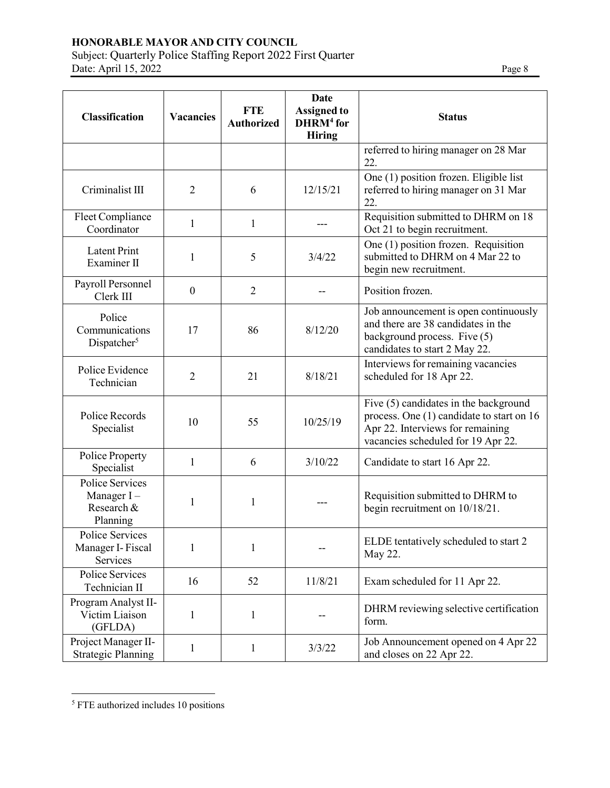Subject: Quarterly Police Staffing Report 2022 First Quarter Date: April 15, 2022 Page 8

| <b>Classification</b>                                          | <b>Vacancies</b> | <b>FTE</b><br><b>Authorized</b> | <b>Date</b><br><b>Assigned to</b><br>DHRM <sup>4</sup> for<br><b>Hiring</b> | <b>Status</b>                                                                                                                                                |
|----------------------------------------------------------------|------------------|---------------------------------|-----------------------------------------------------------------------------|--------------------------------------------------------------------------------------------------------------------------------------------------------------|
|                                                                |                  |                                 |                                                                             | referred to hiring manager on 28 Mar<br>22.                                                                                                                  |
| Criminalist III                                                | $\overline{2}$   | 6                               | 12/15/21                                                                    | One (1) position frozen. Eligible list<br>referred to hiring manager on 31 Mar<br>22.                                                                        |
| Fleet Compliance<br>Coordinator                                | $\mathbf{1}$     | $\mathbf{1}$                    |                                                                             | Requisition submitted to DHRM on 18<br>Oct 21 to begin recruitment.                                                                                          |
| <b>Latent Print</b><br>Examiner II                             | 1                | 5                               | 3/4/22                                                                      | One (1) position frozen. Requisition<br>submitted to DHRM on 4 Mar 22 to<br>begin new recruitment.                                                           |
| Payroll Personnel<br>Clerk III                                 | $\boldsymbol{0}$ | $\overline{2}$                  |                                                                             | Position frozen.                                                                                                                                             |
| Police<br>Communications<br>Dispatcher <sup>5</sup>            | 17               | 86                              | 8/12/20                                                                     | Job announcement is open continuously<br>and there are 38 candidates in the<br>background process. Five (5)<br>candidates to start 2 May 22.                 |
| Police Evidence<br>Technician                                  | $\overline{2}$   | 21                              | 8/18/21                                                                     | Interviews for remaining vacancies<br>scheduled for 18 Apr 22.                                                                                               |
| Police Records<br>Specialist                                   | 10               | 55                              | 10/25/19                                                                    | Five (5) candidates in the background<br>process. One (1) candidate to start on 16<br>Apr 22. Interviews for remaining<br>vacancies scheduled for 19 Apr 22. |
| Police Property<br>Specialist                                  | 1                | 6                               | 3/10/22                                                                     | Candidate to start 16 Apr 22.                                                                                                                                |
| <b>Police Services</b><br>Manager I-<br>Research &<br>Planning | $\mathbf{1}$     | $\mathbf{1}$                    |                                                                             | Requisition submitted to DHRM to<br>begin recruitment on 10/18/21.                                                                                           |
| Police Services<br>Manager I-Fiscal<br>Services                | 1                | 1                               |                                                                             | ELDE tentatively scheduled to start 2<br>May 22.                                                                                                             |
| Police Services<br>Technician II                               | 16               | 52                              | 11/8/21                                                                     | Exam scheduled for 11 Apr 22.                                                                                                                                |
| Program Analyst II-<br>Victim Liaison<br>(GFLDA)               | 1                | $\mathbf{1}$                    |                                                                             | DHRM reviewing selective certification<br>form.                                                                                                              |
| Project Manager II-<br><b>Strategic Planning</b>               | 1                | $\mathbf{1}$                    | 3/3/22                                                                      | Job Announcement opened on 4 Apr 22<br>and closes on 22 Apr 22.                                                                                              |

<sup>5</sup> FTE authorized includes 10 positions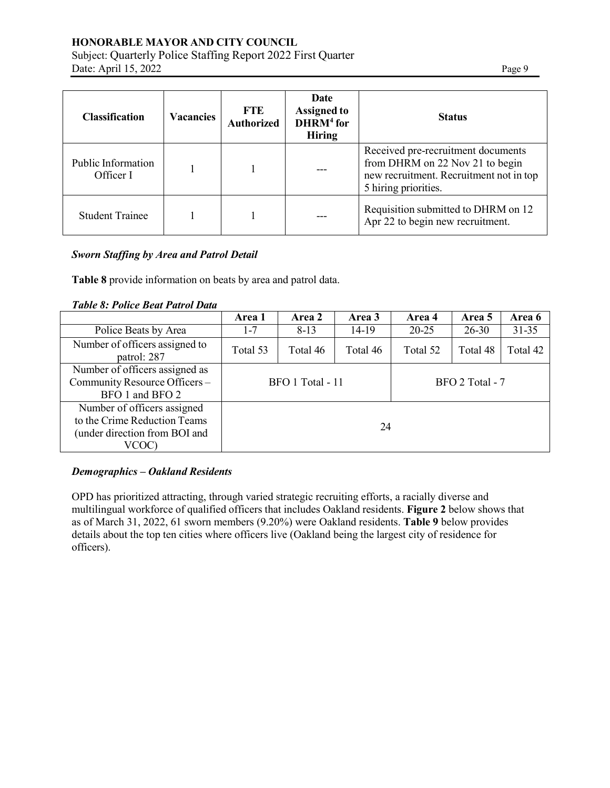# Subject: Quarterly Police Staffing Report 2022 First Quarter Date: April 15, 2022 Page 9

| <b>Classification</b>           | <b>Vacancies</b> | <b>FTE</b><br><b>Authorized</b> | Date<br><b>Assigned to</b><br>$DHRM4$ for<br><b>Hiring</b> | <b>Status</b>                                                                                                                            |
|---------------------------------|------------------|---------------------------------|------------------------------------------------------------|------------------------------------------------------------------------------------------------------------------------------------------|
| Public Information<br>Officer I |                  |                                 |                                                            | Received pre-recruitment documents<br>from DHRM on 22 Nov 21 to begin<br>new recruitment. Recruitment not in top<br>5 hiring priorities. |
| <b>Student Trainee</b>          |                  |                                 |                                                            | Requisition submitted to DHRM on 12<br>Apr 22 to begin new recruitment.                                                                  |

### *Sworn Staffing by Area and Patrol Detail*

**Table 8** provide information on beats by area and patrol data.

| <b>Table 8: Police Beat Patrol Data</b> |  |  |  |  |
|-----------------------------------------|--|--|--|--|
|-----------------------------------------|--|--|--|--|

|                                                                                                       | Area 1           | Area 2   | Area 3   | Area 4          | Area 5    | Area 6    |
|-------------------------------------------------------------------------------------------------------|------------------|----------|----------|-----------------|-----------|-----------|
| Police Beats by Area                                                                                  | $1 - 7$          | $8-13$   | 14-19    | $20 - 25$       | $26 - 30$ | $31 - 35$ |
| Number of officers assigned to<br>patrol: 287                                                         | Total 53         | Total 46 | Total 46 | Total 52        | Total 48  | Total 42  |
| Number of officers assigned as<br>Community Resource Officers -<br>BFO 1 and BFO 2                    | BFO 1 Total - 11 |          |          | BFO 2 Total - 7 |           |           |
| Number of officers assigned<br>to the Crime Reduction Teams<br>(under direction from BOI and<br>VCOC) |                  |          | 24       |                 |           |           |

# *Demographics – Oakland Residents*

OPD has prioritized attracting, through varied strategic recruiting efforts, a racially diverse and multilingual workforce of qualified officers that includes Oakland residents. **Figure 2** below shows that as of March 31, 2022, 61 sworn members (9.20%) were Oakland residents. **Table 9** below provides details about the top ten cities where officers live (Oakland being the largest city of residence for officers).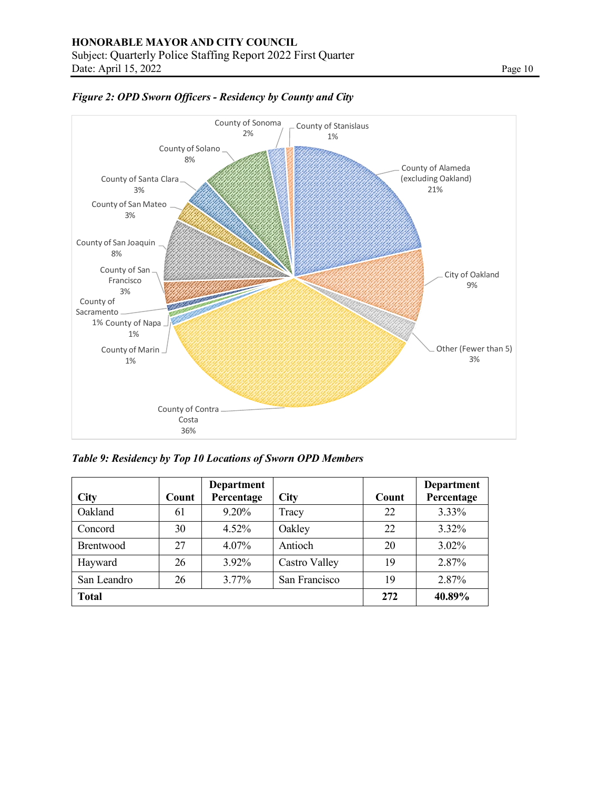

*Figure 2: OPD Sworn Officers - Residency by County and City*

*Table 9: Residency by Top 10 Locations of Sworn OPD Members*

| <b>City</b>      | Count | Department<br>Percentage | <b>City</b>   | Count | <b>Department</b><br>Percentage |
|------------------|-------|--------------------------|---------------|-------|---------------------------------|
|                  |       |                          |               |       |                                 |
| Oakland          | 61    | $9.20\%$                 | Tracy         | 22    | 3.33%                           |
| Concord          | 30    | $4.52\%$                 | Oakley        | 22    | 3.32%                           |
| <b>Brentwood</b> | 27    | $4.07\%$                 | Antioch       | 20    | $3.02\%$                        |
| Hayward          | 26    | 3.92%                    | Castro Valley | 19    | 2.87%                           |
| San Leandro      | 26    | $3.77\%$                 | San Francisco | 19    | 2.87%                           |
| <b>Total</b>     |       |                          |               | 272   | 40.89%                          |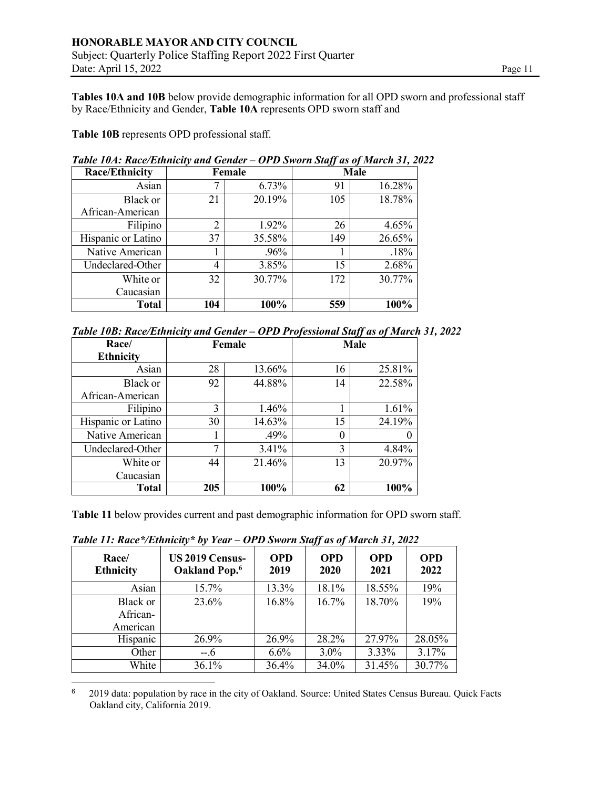**Tables 10A and 10B** below provide demographic information for all OPD sworn and professional staff by Race/Ethnicity and Gender, **Table 10A** represents OPD sworn staff and

**Table 10B** represents OPD professional staff.

| Tubic Toni, Rucc/Ethnich y una Schuch |        |        |             |        |  |
|---------------------------------------|--------|--------|-------------|--------|--|
| <b>Race/Ethnicity</b>                 | Female |        | <b>Male</b> |        |  |
| Asian                                 |        | 6.73%  | 91          | 16.28% |  |
| Black or                              | 21     | 20.19% | 105         | 18.78% |  |
| African-American                      |        |        |             |        |  |
| Filipino                              | 2      | 1.92%  | 26          | 4.65%  |  |
| Hispanic or Latino                    | 37     | 35.58% | 149         | 26.65% |  |
| Native American                       |        | .96%   |             | .18%   |  |
| Undeclared-Other                      | 4      | 3.85%  | 15          | 2.68%  |  |
| White or                              | 32     | 30.77% | 172         | 30.77% |  |
| Caucasian                             |        |        |             |        |  |
| <b>Total</b>                          | 104    | 100%   | 559         | 100%   |  |

*Table 10A: Race/Ethnicity and Gender – OPD Sworn Staff as of March 31, 2022*

| Table 10B: Race/Ethnicity and Gender - OPD Professional Staff as of March 31, 2022 |  |  |
|------------------------------------------------------------------------------------|--|--|
|                                                                                    |  |  |

| Race/              | Female |        | <b>Male</b> |        |
|--------------------|--------|--------|-------------|--------|
| <b>Ethnicity</b>   |        |        |             |        |
| Asian              | 28     | 13.66% | 16          | 25.81% |
| Black or           | 92     | 44.88% | 14          | 22.58% |
| African-American   |        |        |             |        |
| Filipino           | 3      | 1.46%  |             | 1.61%  |
| Hispanic or Latino | 30     | 14.63% | 15          | 24.19% |
| Native American    |        | .49%   | $\theta$    |        |
| Undeclared-Other   | ┑      | 3.41%  | 3           | 4.84%  |
| White or           | 44     | 21.46% | 13          | 20.97% |
| Caucasian          |        |        |             |        |
| <b>Total</b>       | 205    | 100%   | 62          | 100%   |

**Table 11** below provides current and past demographic information for OPD sworn staff.

| Race/<br><b>Ethnicity</b> | US 2019 Census-<br>Oakland Pop. <sup>6</sup> | <b>OPD</b><br>2019 | <b>OPD</b><br>2020 | <b>OPD</b><br>2021 | <b>OPD</b><br>2022 |
|---------------------------|----------------------------------------------|--------------------|--------------------|--------------------|--------------------|
| Asian                     | 15.7%                                        | 13.3%              | 18.1%              | 18.55%             | 19%                |
| Black or                  | 23.6%                                        | 16.8%              | 16.7%              | 18.70%             | 19%                |
| African-                  |                                              |                    |                    |                    |                    |
| American                  |                                              |                    |                    |                    |                    |
| Hispanic                  | 26.9%                                        | 26.9%              | 28.2%              | 27.97%             | 28.05%             |
| Other                     | $-.6$                                        | 6.6%               | $3.0\%$            | 3.33%              | 3.17%              |
| White                     | 36.1%                                        | 36.4%              | 34.0%              | 31.45%             | 30.77%             |

*Table 11: Race\*/Ethnicity\* by Year – OPD Sworn Staff as of March 31, 2022*

<sup>6</sup> 2019 data: population by race in the city of Oakland. Source: United States Census Bureau. Quick Facts Oakland city, California 2019.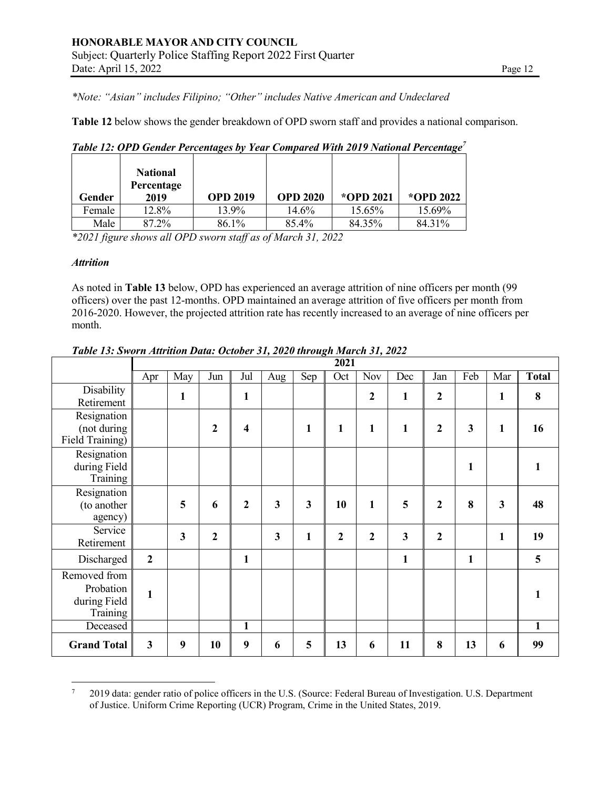*\*Note: "Asian" includes Filipino; "Other" includes Native American and Undeclared*

**Table 12** below shows the gender breakdown of OPD sworn staff and provides a national comparison.

| Gender | <b>National</b><br>Percentage<br>2019 | <b>OPD 2019</b> | <b>OPD 2020</b> | *OPD 2021 | *OPD 2022 |
|--------|---------------------------------------|-----------------|-----------------|-----------|-----------|
| Female | 12.8%                                 | 13.9%           | 14.6%           | 15.65%    | 15.69%    |
| Male   | 87.2%                                 | 86.1%           | 85.4%           | 84.35%    | 84.31%    |

*Table 12: OPD Gender Percentages by Year Compared With 2019 National Percentage7*

*\*2021 figure shows all OPD sworn staff as of March 31, 2022*

#### *Attrition*

As noted in **Table 13** below, OPD has experienced an average attrition of nine officers per month (99 officers) over the past 12-months. OPD maintained an average attrition of five officers per month from 2016-2020. However, the projected attrition rate has recently increased to an average of nine officers per month.

|                    | 2021             |                         |              |                         |              |              |                |                |              |                |              |                         |              |
|--------------------|------------------|-------------------------|--------------|-------------------------|--------------|--------------|----------------|----------------|--------------|----------------|--------------|-------------------------|--------------|
|                    | Apr              | May                     | Jun          | Jul                     | Aug          | Sep          | Oct            | Nov            | Dec          | Jan            | Feb          | Mar                     | <b>Total</b> |
| Disability         |                  | $\mathbf{1}$            |              | $\mathbf{1}$            |              |              |                | $\mathbf{2}$   | $\mathbf{1}$ | 2              |              | $\mathbf{1}$            | 8            |
| Retirement         |                  |                         |              |                         |              |              |                |                |              |                |              |                         |              |
| Resignation        |                  |                         |              |                         |              |              |                |                |              |                |              |                         |              |
| (not during        |                  |                         | $\mathbf{2}$ | $\overline{\mathbf{4}}$ |              | 1            | $\mathbf{1}$   | $\mathbf{1}$   | 1            | $\mathbf{2}$   | 3            | $\mathbf{1}$            | 16           |
| Field Training)    |                  |                         |              |                         |              |              |                |                |              |                |              |                         |              |
| Resignation        |                  |                         |              |                         |              |              |                |                |              |                |              |                         |              |
| during Field       |                  |                         |              |                         |              |              |                |                |              |                | $\mathbf{1}$ |                         |              |
| Training           |                  |                         |              |                         |              |              |                |                |              |                |              |                         |              |
| Resignation        |                  |                         |              |                         |              |              |                |                |              |                |              |                         |              |
| (to another        |                  | 5                       | 6            | $\overline{2}$          | 3            | $\mathbf{3}$ | 10             | $\mathbf{1}$   | 5            | $\overline{2}$ | 8            | $\overline{\mathbf{3}}$ | 48           |
| agency)            |                  |                         |              |                         |              |              |                |                |              |                |              |                         |              |
| Service            |                  | $\overline{\mathbf{3}}$ | $\mathbf{2}$ |                         | $\mathbf{3}$ | 1            | $\overline{2}$ | $\overline{2}$ | $\mathbf{3}$ | $\mathbf{2}$   |              | $\mathbf{1}$            | 19           |
| Retirement         |                  |                         |              |                         |              |              |                |                |              |                |              |                         |              |
| Discharged         | $\boldsymbol{2}$ |                         |              | $\mathbf{1}$            |              |              |                |                | $\mathbf{1}$ |                | $\mathbf{1}$ |                         | 5            |
| Removed from       |                  |                         |              |                         |              |              |                |                |              |                |              |                         |              |
| Probation          | $\mathbf{1}$     |                         |              |                         |              |              |                |                |              |                |              |                         |              |
| during Field       |                  |                         |              |                         |              |              |                |                |              |                |              |                         |              |
| Training           |                  |                         |              |                         |              |              |                |                |              |                |              |                         |              |
| Deceased           |                  |                         |              | $\mathbf{1}$            |              |              |                |                |              |                |              |                         | $\mathbf{1}$ |
| <b>Grand Total</b> | 3                | 9                       | 10           | 9                       | 6            | 5            | 13             | 6              | 11           | 8              | 13           | 6                       | 99           |

*Table 13: Sworn Attrition Data: October 31, 2020 through March 31, 2022*

<sup>7</sup> 2019 data: gender ratio of police officers in the U.S. (Source: Federal Bureau of Investigation. U.S. Department of Justice. Uniform Crime Reporting (UCR) Program, Crime in the United States, 2019.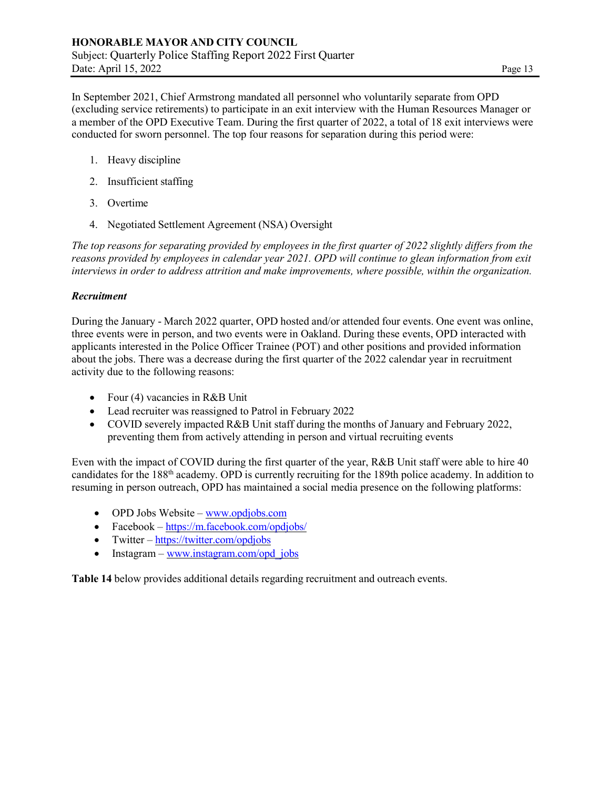In September 2021, Chief Armstrong mandated all personnel who voluntarily separate from OPD (excluding service retirements) to participate in an exit interview with the Human Resources Manager or a member of the OPD Executive Team. During the first quarter of 2022, a total of 18 exit interviews were conducted for sworn personnel. The top four reasons for separation during this period were:

- 1. Heavy discipline
- 2. Insufficient staffing
- 3. Overtime
- 4. Negotiated Settlement Agreement (NSA) Oversight

*The top reasons for separating provided by employees in the first quarter of 2022 slightly differs from the reasons provided by employees in calendar year 2021. OPD will continue to glean information from exit interviews in order to address attrition and make improvements, where possible, within the organization.* 

### *Recruitment*

During the January - March 2022 quarter, OPD hosted and/or attended four events. One event was online, three events were in person, and two events were in Oakland. During these events, OPD interacted with applicants interested in the Police Officer Trainee (POT) and other positions and provided information about the jobs. There was a decrease during the first quarter of the 2022 calendar year in recruitment activity due to the following reasons:

- Four (4) vacancies in R&B Unit
- Lead recruiter was reassigned to Patrol in February 2022
- COVID severely impacted R&B Unit staff during the months of January and February 2022, preventing them from actively attending in person and virtual recruiting events

Even with the impact of COVID during the first quarter of the year, R&B Unit staff were able to hire 40 candidates for the 188th academy. OPD is currently recruiting for the 189th police academy. In addition to resuming in person outreach, OPD has maintained a social media presence on the following platforms:

- OPD Jobs Website  $\frac{www.opdjobs.com}{www.opdjobs.com}$
- Facebook –<https://m.facebook.com/opdjobs/>
- Twitter <https://twitter.com/opdjobs>
- Instagram – [www.instagram.com/opd\\_jobs](http://www.instagram.com/opd_jobs)

**Table 14** below provides additional details regarding recruitment and outreach events.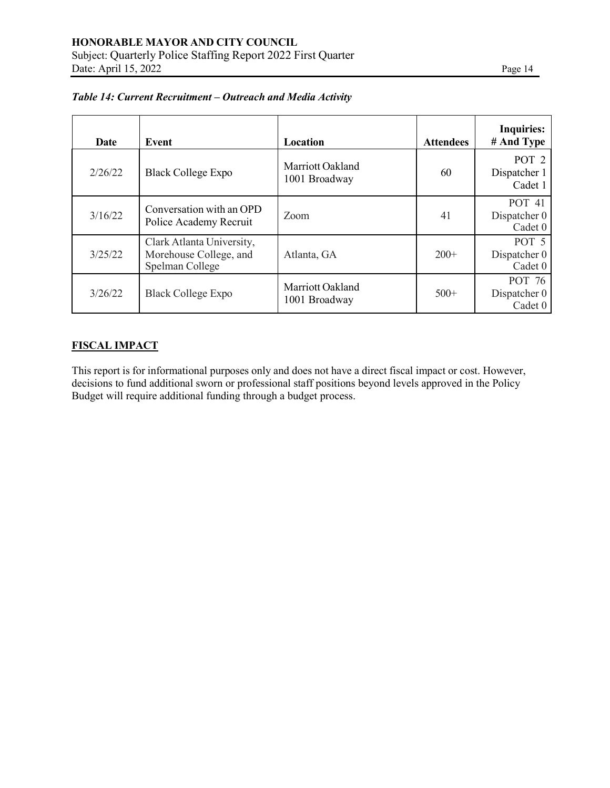| <b>Date</b> | Event                                                                  | Location                          | <b>Attendees</b> | <b>Inquiries:</b><br># And Type             |
|-------------|------------------------------------------------------------------------|-----------------------------------|------------------|---------------------------------------------|
| 2/26/22     | <b>Black College Expo</b>                                              | Marriott Oakland<br>1001 Broadway | 60               | POT <sub>2</sub><br>Dispatcher 1<br>Cadet 1 |
| 3/16/22     | Conversation with an OPD<br>Police Academy Recruit                     | Zoom                              | 41               | POT 41<br>Dispatcher 0<br>Cadet 0           |
| 3/25/22     | Clark Atlanta University,<br>Morehouse College, and<br>Spelman College | Atlanta, GA                       | $200+$           | POT 5<br>Dispatcher 0<br>Cadet 0            |
| 3/26/22     | <b>Black College Expo</b>                                              | Marriott Oakland<br>1001 Broadway | $500+$           | POT 76<br>Dispatcher 0<br>Cadet 0           |

### *Table 14: Current Recruitment – Outreach and Media Activity*

# **FISCAL IMPACT**

This report is for informational purposes only and does not have a direct fiscal impact or cost. However, decisions to fund additional sworn or professional staff positions beyond levels approved in the Policy Budget will require additional funding through a budget process.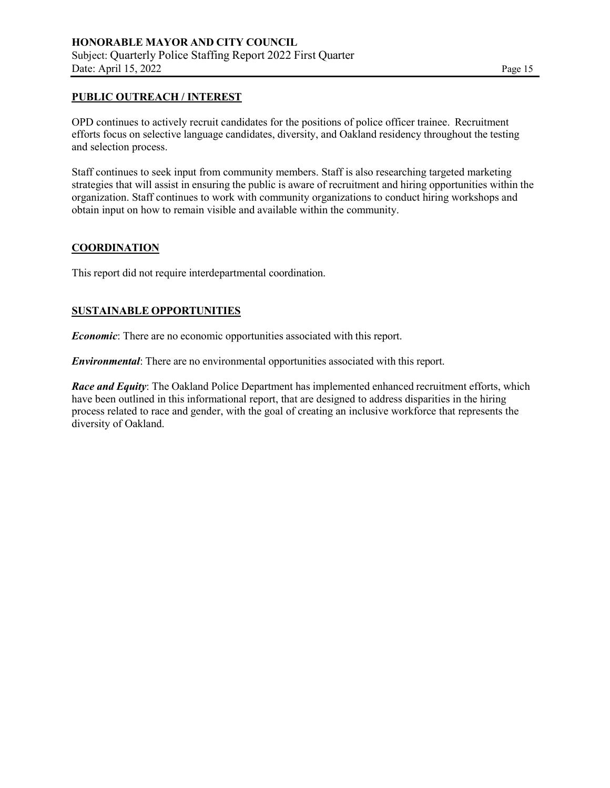#### **PUBLIC OUTREACH / INTEREST**

OPD continues to actively recruit candidates for the positions of police officer trainee. Recruitment efforts focus on selective language candidates, diversity, and Oakland residency throughout the testing and selection process.

Staff continues to seek input from community members. Staff is also researching targeted marketing strategies that will assist in ensuring the public is aware of recruitment and hiring opportunities within the organization. Staff continues to work with community organizations to conduct hiring workshops and obtain input on how to remain visible and available within the community.

### **COORDINATION**

This report did not require interdepartmental coordination.

#### **SUSTAINABLE OPPORTUNITIES**

*Economic*: There are no economic opportunities associated with this report.

*Environmental*: There are no environmental opportunities associated with this report.

*Race and Equity*: The Oakland Police Department has implemented enhanced recruitment efforts, which have been outlined in this informational report, that are designed to address disparities in the hiring process related to race and gender, with the goal of creating an inclusive workforce that represents the diversity of Oakland.